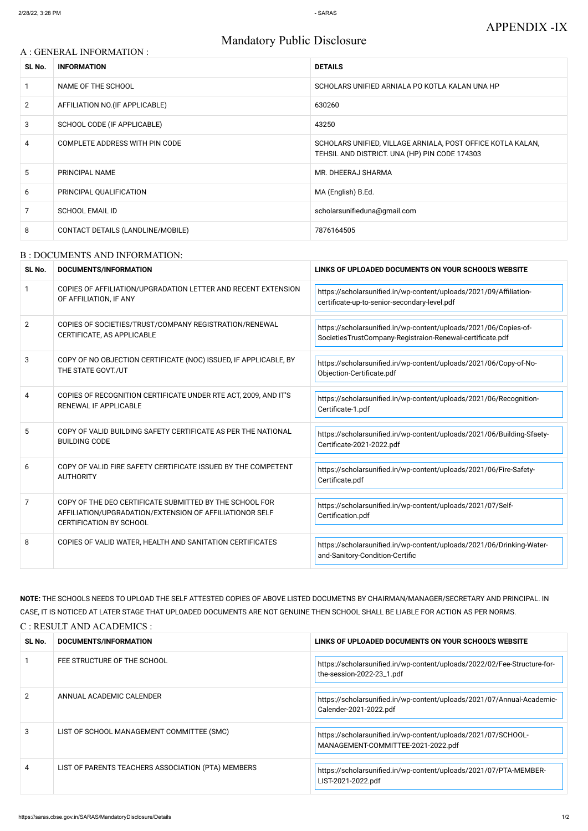# Mandatory Public Disclosure

### A : GENERAL INFORMATION :

| SL No.         | <b>INFORMATION</b>                | <b>DETAILS</b>                                                                                               |
|----------------|-----------------------------------|--------------------------------------------------------------------------------------------------------------|
|                | NAME OF THE SCHOOL                | SCHOLARS UNIFIED ARNIALA PO KOTLA KALAN UNA HP                                                               |
| $\overline{2}$ | AFFILIATION NO. (IF APPLICABLE)   | 630260                                                                                                       |
| 3              | SCHOOL CODE (IF APPLICABLE)       | 43250                                                                                                        |
| 4              | COMPLETE ADDRESS WITH PIN CODE    | SCHOLARS UNIFIED, VILLAGE ARNIALA, POST OFFICE KOTLA KALAN,<br>TEHSIL AND DISTRICT. UNA (HP) PIN CODE 174303 |
| 5              | PRINCIPAL NAME                    | MR. DHEERAJ SHARMA                                                                                           |
| 6              | PRINCIPAL QUALIFICATION           | MA (English) B.Ed.                                                                                           |
|                | <b>SCHOOL EMAIL ID</b>            | scholarsunifieduna@gmail.com                                                                                 |
| 8              | CONTACT DETAILS (LANDLINE/MOBILE) | 7876164505                                                                                                   |

#### B : DOCUMENTS AND INFORMATION:

| SL No.         | DOCUMENTS/INFORMATION                                                                                                                                | LINKS OF UPLOADED DOCUMENTS ON YOUR SCHOOL'S WEBSITE                                                                          |  |
|----------------|------------------------------------------------------------------------------------------------------------------------------------------------------|-------------------------------------------------------------------------------------------------------------------------------|--|
| $\mathbf{1}$   | COPIES OF AFFILIATION/UPGRADATION LETTER AND RECENT EXTENSION<br>OF AFFILIATION, IF ANY                                                              | https://scholarsunified.in/wp-content/uploads/2021/09/Affiliation-<br>certificate-up-to-senior-secondary-level.pdf            |  |
| $\overline{2}$ | COPIES OF SOCIETIES/TRUST/COMPANY REGISTRATION/RENEWAL<br>CERTIFICATE, AS APPLICABLE                                                                 | https://scholarsunified.in/wp-content/uploads/2021/06/Copies-of-<br>SocietiesTrustCompany-Registraion-Renewal-certificate.pdf |  |
| 3              | COPY OF NO OBJECTION CERTIFICATE (NOC) ISSUED, IF APPLICABLE, BY<br>THE STATE GOVT./UT                                                               | https://scholarsunified.in/wp-content/uploads/2021/06/Copy-of-No-<br>Objection-Certificate.pdf                                |  |
| 4              | COPIES OF RECOGNITION CERTIFICATE UNDER RTE ACT, 2009, AND IT'S<br><b>RENEWAL IF APPLICABLE</b>                                                      | https://scholarsunified.in/wp-content/uploads/2021/06/Recognition-<br>Certificate-1.pdf                                       |  |
| 5              | COPY OF VALID BUILDING SAFETY CERTIFICATE AS PER THE NATIONAL<br><b>BUILDING CODE</b>                                                                | https://scholarsunified.in/wp-content/uploads/2021/06/Building-Sfaety-<br>Certificate-2021-2022.pdf                           |  |
| 6              | COPY OF VALID FIRE SAFETY CERTIFICATE ISSUED BY THE COMPETENT<br><b>AUTHORITY</b>                                                                    | https://scholarsunified.in/wp-content/uploads/2021/06/Fire-Safety-<br>Certificate.pdf                                         |  |
| 7              | COPY OF THE DEO CERTIFICATE SUBMITTED BY THE SCHOOL FOR<br>AFFILIATION/UPGRADATION/EXTENSION OF AFFILIATIONOR SELF<br><b>CERTIFICATION BY SCHOOL</b> | https://scholarsunified.in/wp-content/uploads/2021/07/Self-<br>Certification.pdf                                              |  |
| 8              | COPIES OF VALID WATER, HEALTH AND SANITATION CERTIFICATES                                                                                            | https://scholarsunified.in/wp-content/uploads/2021/06/Drinking-Water-<br>and-Sanitory-Condition-Certific                      |  |

**NOTE:** THE SCHOOLS NEEDS TO UPLOAD THE SELF ATTESTED COPIES OF ABOVE LISTED DOCUMETNS BY CHAIRMAN/MANAGER/SECRETARY AND PRINCIPAL. IN CASE, IT IS NOTICED AT LATER STAGE THAT UPLOADED DOCUMENTS ARE NOT GENUINE THEN SCHOOL SHALL BE LIABLE FOR ACTION AS PER NORMS. C : RESULT AND ACADEMICS :

| SL No. | DOCUMENTS/INFORMATION                              | LINKS OF UPLOADED DOCUMENTS ON YOUR SCHOOL'S WEBSITE                                                  |
|--------|----------------------------------------------------|-------------------------------------------------------------------------------------------------------|
|        | FEE STRUCTURE OF THE SCHOOL                        | https://scholarsunified.in/wp-content/uploads/2022/02/Fee-Structure-for-<br>the-session-2022-23_1.pdf |
| 2      | ANNUAL ACADEMIC CALENDER                           | https://scholarsunified.in/wp-content/uploads/2021/07/Annual-Academic-<br>Calender-2021-2022.pdf      |
| 3      | LIST OF SCHOOL MANAGEMENT COMMITTEE (SMC)          | https://scholarsunified.in/wp-content/uploads/2021/07/SCHOOL-<br>MANAGEMENT-COMMITTEE-2021-2022.pdf   |
| 4      | LIST OF PARENTS TEACHERS ASSOCIATION (PTA) MEMBERS | https://scholarsunified.in/wp-content/uploads/2021/07/PTA-MEMBER-<br>LIST-2021-2022.pdf               |